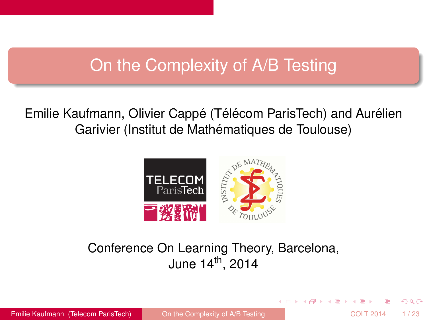# <span id="page-0-0"></span>On the Complexity of A/B Testing

Emilie Kaufmann, Olivier Cappé (Télécom ParisTech) and Aurélien Garivier (Institut de Mathématiques de Toulouse)



## Conference On Learning Theory, Barcelona, June  $14^{th}$ , 2014

イロト イ押ト イヨト イヨ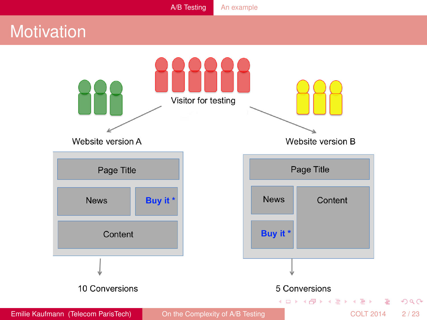# <span id="page-1-0"></span>**Motivation**

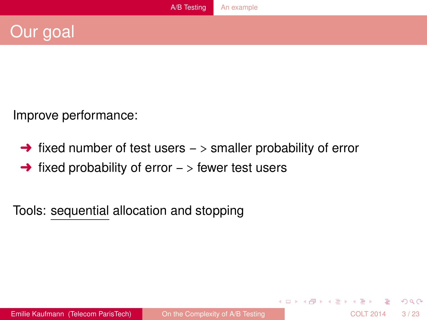# <span id="page-2-0"></span>Our goal

Improve performance:

- $\rightarrow$  fixed number of test users  $\rightarrow$  smaller probability of error
- $\rightarrow$  fixed probability of error  $\rightarrow$  fewer test users

Tools: sequential allocation and stopping

 $\Omega$ 

4 0 8 4 4 9 8 4 9 8 4 9 8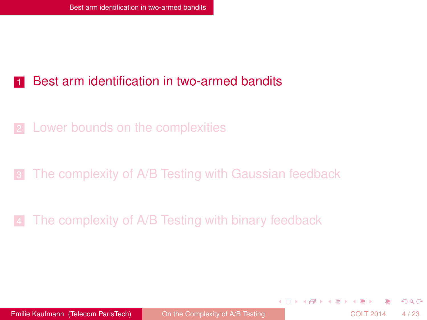#### <span id="page-3-0"></span>[Best arm identification in two-armed bandits](#page-3-0)

- 2 [Lower bounds on the complexities](#page-7-0)
- [The complexity of A/B Testing with Gaussian feedback](#page-10-0)

[The complexity of A/B Testing with binary feedback](#page-15-0)

Emilie Kaufmann (Telecom ParisTech) Conthe Complexity of A/B Testing COLT 2014 4/23

 $(0,1)$   $(0,1)$   $(0,1)$   $(1,1)$   $(1,1)$   $(1,1)$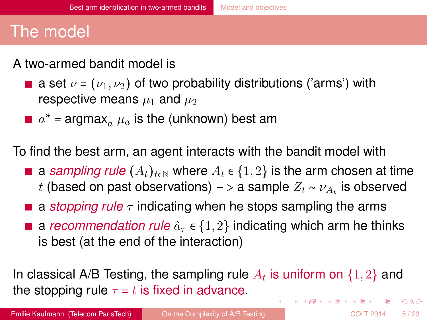# <span id="page-4-0"></span>The model

### A two-armed bandit model is

- **a** set  $\nu = (\nu_1, \nu_2)$  of two probability distributions ('arms') with respective means  $\mu_1$  and  $\mu_2$ 
	- $a^*$  = argmax $_a$   $\mu_a$  is the (unknown) best am

To find the best arm, an agent interacts with the bandit model with

- **a** *sampling rule*  $(A_t)_{t \in \mathbb{N}}$  where  $A_t \in \{1, 2\}$  is the arm chosen at time  $t$  (based on past observations) – > a sample  $Z_t \sim \nu_{A_t}$  is observed
- **a** *stopping rule*  $\tau$  indicating when he stops sampling the arms
- **a** *recommendation rule*  $\hat{a}_{\tau} \in \{1, 2\}$  indicating which arm he thinks is best (at the end of the interaction)

In classical A/B Testing, the sampling rule  $A_t$  is uniform on  $\{1,2\}$  and the stopping rule  $\tau = t$  is fixed in advance.  $(0.123 \times 10^{-14} \text{ m}) \times 10^{-14} \text{ m} \times 10^{-14} \text{ m}$  $\Omega$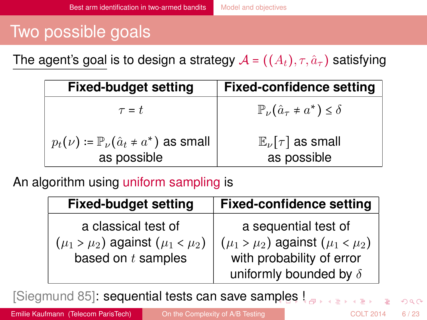# <span id="page-5-0"></span>Two possible goals

The agent's goal is to design a strategy  $A = ((A_t), \tau, \hat{a}_\tau)$  satisfying

| <b>Fixed-budget setting</b>                                               | <b>Fixed-confidence setting</b>                         |
|---------------------------------------------------------------------------|---------------------------------------------------------|
| $\tau = t$                                                                | $\mathbb{P}_{\nu}(\hat{a}_{\tau} \neq a^*) \leq \delta$ |
| $p_t(\nu) = \mathbb{P}_{\nu}(\hat{a}_t \neq a^*)$ as small<br>as possible | $\mathbb{E}_{\nu}[\tau]$ as small<br>as possible        |

### An algorithm using uniform sampling is

| <b>Fixed-budget setting</b>                 | <b>Fixed-confidence setting</b>             |
|---------------------------------------------|---------------------------------------------|
| a classical test of                         | a sequential test of                        |
| $(\mu_1 > \mu_2)$ against $(\mu_1 < \mu_2)$ | $(\mu_1 > \mu_2)$ against $(\mu_1 < \mu_2)$ |
| based on $t$ samples                        | with probability of error                   |
|                                             | uniformly bounded by $\delta$               |

[Siegmund 85]: sequential tests can save sam[pl](#page-4-0)[es](#page-6-0) [!](#page-4-0)

Emilie Kaufmann (Telecom ParisTech) Conthe Complexity of A/B Testing COLT 2014 6/23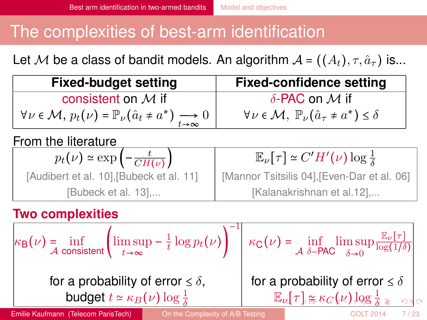# <span id="page-6-0"></span>The complexities of best-arm identification

Let M be a class of bandit models. An algorithm  $A = ((A_t), \tau, \hat{a}_\tau)$  is...

| <b>Fixed-budget setting</b>                                                                | <b>Fixed-confidence setting</b>                                                                                                |  |
|--------------------------------------------------------------------------------------------|--------------------------------------------------------------------------------------------------------------------------------|--|
| consistent on $M$ if                                                                       | $\delta$ -PAC on M if                                                                                                          |  |
| $\forall v \in \mathcal{M}, p_t(v) = \mathbb{P}_{v}(\hat{a}_t \neq a^*) \longrightarrow 0$ | $\forall v \in \mathcal{M}, \ \mathbb{P}_{\nu}(\hat{a}_{\tau} \neq a^*) \leq \delta$                                           |  |
| From the literature                                                                        |                                                                                                                                |  |
| $p_t(\nu) \simeq \exp\left(-\frac{t}{CH(\nu)}\right)$                                      | $\mathbb{E}_{\nu}[\tau] \simeq C'H'(\nu) \log \frac{1}{\delta}$                                                                |  |
| [Audibert et al. 10], [Bubeck et al. 11]                                                   | [Mannor Tsitsilis 04], [Even-Dar et al. 06]                                                                                    |  |
| <b>PERISTIC PROPERTY</b>                                                                   | $\mathbf{r}$ , and $\mathbf{r}$ , and $\mathbf{r}$ , and $\mathbf{r}$ , and $\mathbf{r}$ , and $\mathbf{r}$ , and $\mathbf{r}$ |  |

[Bubeck et al. 13],... [Kalanakrishnan et al.12],...

### **Two complexities**

$$
\kappa_{\mathsf{B}}(\nu) = \inf_{\mathcal{A} \text{ consistent}} \left( \limsup_{t \to \infty} -\frac{1}{t} \log p_t(\nu) \right)^{-1} \left| \kappa_{\mathsf{C}}(\nu) = \inf_{\mathcal{A} \text{ } \delta \in \mathsf{PAC}} \limsup_{\delta \to 0} \frac{\mathbb{E}_{\nu}[\tau]}{\log(1/\delta)} \right|
$$
\nfor a probability of error  $\leq \delta$ ,

\nbudget  $t \approx \kappa_B(\nu) \log \frac{1}{\delta}$ 

\nfor a probability of error  $\leq \delta$ 

\n
$$
\mathbb{E}_{\nu}[\tau] \approx \kappa_C(\nu) \log \frac{1}{\delta} \approx \infty
$$

Emilie Kaufmann (Telecom ParisTech) Conthe Complexity of A/B Testing COLT 2014 7/23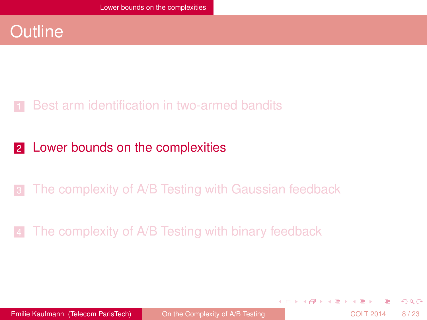## <span id="page-7-0"></span>**Outline**

### [Best arm identification in two-armed bandits](#page-3-0)

#### 2 [Lower bounds on the complexities](#page-7-0)

## 3 [The complexity of A/B Testing with Gaussian feedback](#page-10-0)

### [The complexity of A/B Testing with binary feedback](#page-15-0)

Emilie Kaufmann (Telecom ParisTech) Conthe Complexity of A/B Testing COLT 2014 8/23

 $(0,1)$   $(0,1)$   $(0,1)$   $(1,1)$   $(1,1)$   $(1,1)$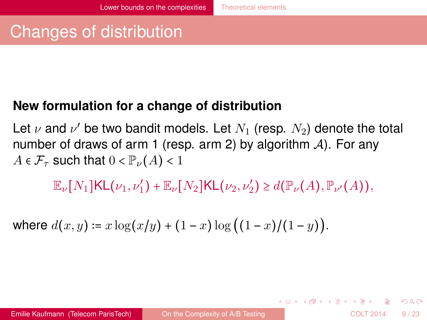# <span id="page-8-0"></span>Changes of distribution

### **New formulation for a change of distribution**

Let  $\nu$  and  $\nu'$  be two bandit models. Let  $N_1$  (resp.  $N_2$ ) denote the total number of draws of arm 1 (resp. arm 2) by algorithm  $A$ ). For any  $A \in \mathcal{F}_{\tau}$  such that  $0 < \mathbb{P}_{\nu}(A) < 1$ 

 $\mathbb{E}_{\nu}[N_1]\textsf{KL}(\nu_1,\nu'_1) + \mathbb{E}_{\nu}[N_2]\textsf{KL}(\nu_2,\nu'_2) \geq d(\mathbb{P}_{\nu}(A),\mathbb{P}_{\nu'}(A)),$ 

where 
$$
d(x, y) = x \log(x/y) + (1 - x) \log((1 - x)/(1 - y))
$$
.

 $(0.123 \times 10^{-14} \text{ m}) \times 10^{-14} \text{ m} \times 10^{-14} \text{ m}$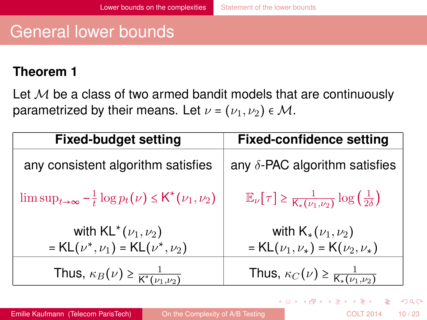# <span id="page-9-0"></span>General lower bounds

#### **Theorem 1**

Let  $M$  be a class of two armed bandit models that are continuously parametrized by their means. Let  $\nu = (\nu_1, \nu_2) \in M$ .

| <b>Fixed-budget setting</b>                                            | <b>Fixed-confidence setting</b>                                                                        |  |
|------------------------------------------------------------------------|--------------------------------------------------------------------------------------------------------|--|
| any consistent algorithm satisfies                                     | any $\delta$ -PAC algorithm satisfies                                                                  |  |
| $\limsup_{t\to\infty} -\frac{1}{t}\log p_t(\nu) \leq K^*(\nu_1,\nu_2)$ | $\mathbb{E}_{\nu}[\tau] \geq \frac{1}{\mathsf{K}_{*}(\nu_1,\nu_2)} \log\left(\frac{1}{2\delta}\right)$ |  |
| with $KL^*(\nu_1, \nu_2)$                                              | with $\mathsf{K}_{*}(\nu_1,\nu_2)$                                                                     |  |
| = $KL(\nu^*, \nu_1)$ = $KL(\nu^*, \nu_2)$                              | = $KL(\nu_1, \nu_*)$ = $K(\nu_2, \nu_*)$                                                               |  |
| Thus, $\kappa_B(\nu) \geq \frac{1}{K^*(\nu_1,\nu_2)}$                  | Thus, $\kappa_C(\nu) \geq \frac{1}{\mathsf{K}_{*}(\nu_1,\nu_2)}$                                       |  |

 $\Omega$ 

 $(0.123 \times 10^{-14} \text{ m}) \times 10^{-14} \text{ m} \times 10^{-14} \text{ m}$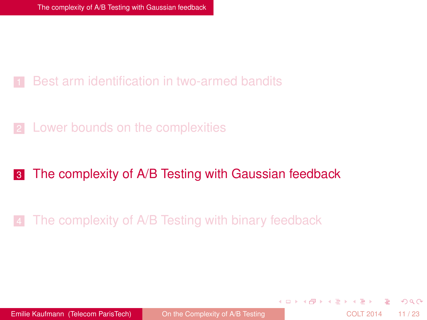#### <span id="page-10-0"></span>[Best arm identification in two-armed bandits](#page-3-0)

2 [Lower bounds on the complexities](#page-7-0)

#### **3** [The complexity of A/B Testing with Gaussian feedback](#page-10-0)

[The complexity of A/B Testing with binary feedback](#page-15-0)

Emilie Kaufmann (Telecom ParisTech) Conthe Complexity of A/B Testing COLT 2014 11/23

 $(0,1)$   $(0,1)$   $(0,1)$   $(1,1)$   $(1,1)$   $(1,1)$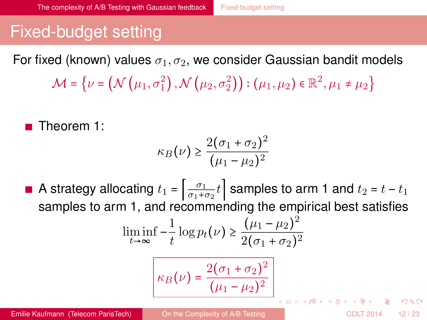# <span id="page-11-0"></span>Fixed-budget setting

For fixed (known) values  $\sigma_1, \sigma_2$ , we consider Gaussian bandit models

 $\mathcal{M}$  =  $\left\{ \nu$  =  $\left(\mathcal{N}\left(\mu_{1}, \sigma_{1}^{2}\right), \mathcal{N}\left(\mu_{2}, \sigma_{2}^{2}\right)\right) : \left(\mu_{1}, \mu_{2}\right) \in \mathbb{R}^{2}, \mu_{1} \neq \mu_{2} \right\}$ 

■ Theorem 1:

$$
\kappa_B(\nu) \ge \frac{2(\sigma_1 + \sigma_2)^2}{(\mu_1 - \mu_2)^2}
$$

A strategy allocating  $t_1 = \left| \frac{\sigma_1}{\sigma_1 + \sigma_2} t \right|$  samples to arm 1 and  $t_2 = t - t_1$ samples to arm 1, and recommending the empirical best satisfies  $\frac{1}{t} \log p_t(\nu) \geq \frac{(\mu_1 - \mu_2)^2}{2(\sigma_1 + \sigma_2)^2}$  $\liminf_{t\to\infty} -\frac{1}{t}$  $2(\sigma_1 + \sigma_2)^2$  $\kappa_B(\nu) = \frac{2(\sigma_1 + \sigma_2)^2}{(\nu_1 - \nu_2)^2}$  $(\mu_{1} - \mu_{2})^{2}$  $(0,1)$   $(0,1)$   $(0,1)$   $(1,1)$   $(1,1)$   $(1,1)$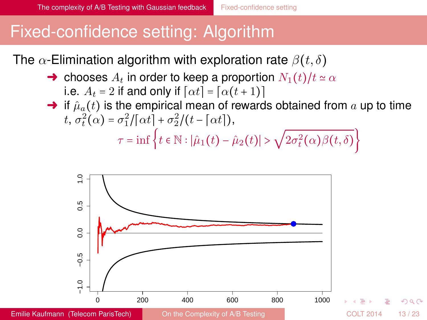# <span id="page-12-0"></span>Fixed-confidence setting: Algorithm

The  $\alpha$ -Elimination algorithm with exploration rate  $\beta(t, \delta)$ 

- $\rightarrow$  chooses  $A_t$  in order to keep a proportion  $N_1(t)/t \simeq \alpha$ i.e.  $A_t = 2$  if and only if  $[\alpha t] = [\alpha(t + 1)]$
- $\rightarrow$  if  $\hat{\mu}_a(t)$  is the empirical mean of rewards obtained from a up to time t,  $\sigma_t^2(\alpha) = \sigma_1^2/[\alpha t] + \sigma_2^2/(t - [\alpha t]),$  $\tau = \inf \left\{ t \in \mathbb{N} : |\hat{\mu}_1(t) - \hat{\mu}_2(t)| > \sqrt{2\sigma_t^2(\alpha)\beta(t,\delta)} \right\}$



∽≏ດ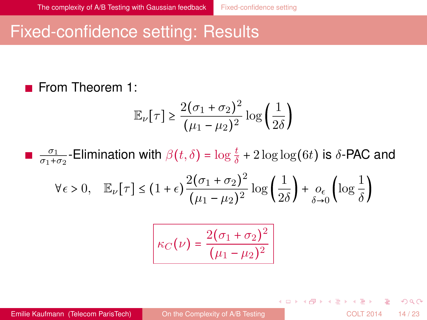## <span id="page-13-0"></span>Fixed-confidence setting: Results

### **From Theorem 1:**

$$
\mathbb{E}_{\nu}[\tau] \ge \frac{2(\sigma_1 + \sigma_2)^2}{(\mu_1 - \mu_2)^2} \log\left(\frac{1}{2\delta}\right)
$$

 $\frac{\sigma_1}{\sigma_1+\sigma_2}$ -Elimination with  $\beta(t,\delta)$  =  $\log\frac{t}{\delta}$  + 2  $\log\log(6t)$  is δ-PAC and

$$
\forall \epsilon > 0, \quad \mathbb{E}_{\nu} \big[ \tau \big] \leq \big( 1 + \epsilon \big) \frac{2 \big( \sigma_1 + \sigma_2 \big)^2}{\big( \mu_1 - \mu_2 \big)^2} \log \left( \frac{1}{2 \delta} \right) + \underset{\delta \rightarrow 0}{o_{\epsilon}} \left( \log \frac{1}{\delta} \right)
$$

$$
\kappa_C(\nu) = \frac{2(\sigma_1 + \sigma_2)^2}{(\mu_1 - \mu_2)^2}
$$

Emilie Kaufmann (Telecom ParisTech) Conthe Complexity of A/B Testing COLT 2014 14/23

 $\Omega$ 

 $(0.123 \times 10^{-14} \text{ m}) \times 10^{-14} \text{ m} \times 10^{-14} \text{ m}$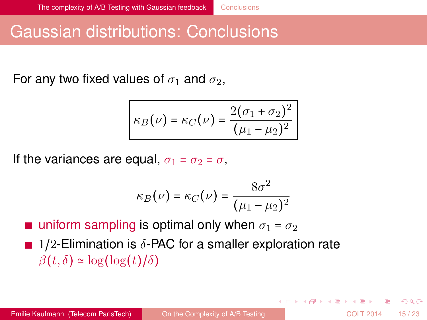# <span id="page-14-0"></span>Gaussian distributions: Conclusions

For any two fixed values of  $\sigma_1$  and  $\sigma_2$ ,

$$
\kappa_B(\nu) = \kappa_C(\nu) = \frac{2(\sigma_1 + \sigma_2)^2}{(\mu_1 - \mu_2)^2}
$$

If the variances are equal,  $\sigma_1 = \sigma_2 = \sigma$ ,

$$
\kappa_B(\nu) = \kappa_C(\nu) = \frac{8\sigma^2}{(\mu_1 - \mu_2)^2}
$$

uniform sampling is optimal only when  $\sigma_1 = \sigma_2$ **1/2-Elimination is**  $\delta$ **-PAC for a smaller exploration rate**  $\beta(t,\delta) \simeq \log(\log(t)/\delta)$ 

Emilie Kaufmann (Telecom ParisTech) Con the Complexity of A/B Testing COLT 2014 15/23

4 0 8 4 6 8 4 9 8 4 9 8 1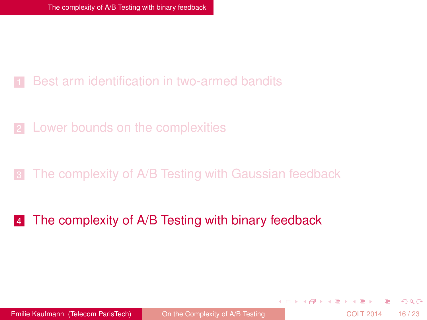#### <span id="page-15-0"></span>[Best arm identification in two-armed bandits](#page-3-0)

2 [Lower bounds on the complexities](#page-7-0)

#### [The complexity of A/B Testing with Gaussian feedback](#page-10-0)

#### 4 [The complexity of A/B Testing with binary feedback](#page-15-0)

Emilie Kaufmann (Telecom ParisTech) Conthe Complexity of A/B Testing COLT 2014 16/23

 $(0,1)$   $(0,1)$   $(0,1)$   $(1,1)$   $(1,1)$   $(1,1)$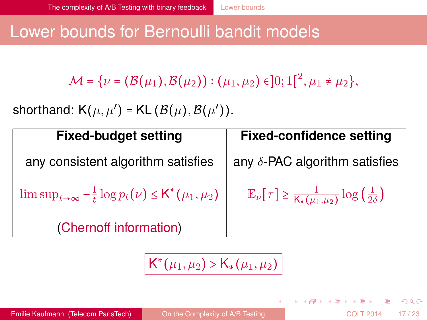## <span id="page-16-0"></span>Lower bounds for Bernoulli bandit models

 $\mathcal{M} = {\nu = (\mathcal{B}(\mu_1), \mathcal{B}(\mu_2)) : (\mu_1, \mu_2) \in ]0;1[^2, \mu_1 \neq \mu_2},$ 

shorthand:  $\mathsf{K}(\mu,\mu')$  =  $\mathsf{KL}\left(\mathcal{B}(\mu),\mathcal{B}(\mu')\right)$ .

| <b>Fixed-budget setting</b>                                            | <b>Fixed-confidence setting</b>                                                                        |  |
|------------------------------------------------------------------------|--------------------------------------------------------------------------------------------------------|--|
| any consistent algorithm satisfies                                     | any $\delta$ -PAC algorithm satisfies                                                                  |  |
| $\limsup_{t\to\infty} -\frac{1}{t}\log p_t(\nu) \leq K^*(\mu_1,\mu_2)$ | $\mathbb{E}_{\nu}[\tau] \geq \frac{1}{\mathsf{K}_{*}(\mu_1,\mu_2)} \log\left(\frac{1}{2\delta}\right)$ |  |
| (Chernoff information)                                                 |                                                                                                        |  |

 $\overline{\mathsf{K}}^*(\mu_1, \mu_2)$  >  $\overline{\mathsf{K}}_*(\mu_1, \mu_2)$ 

Emilie Kaufmann (Telecom ParisTech) Conthe Complexity of A/B Testing COLT 2014 17/23

 $(0.123 \times 10^{-14} \text{ m}) \times 10^{-14} \text{ m} \times 10^{-14} \text{ m}$ 

 $QQQ$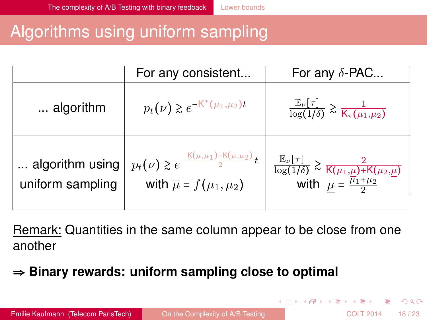# <span id="page-17-0"></span>Algorithms using uniform sampling

|                                     | For any consistent                                                                                                                            | For any $\delta$ -PAC                                                                                                                            |
|-------------------------------------|-----------------------------------------------------------------------------------------------------------------------------------------------|--------------------------------------------------------------------------------------------------------------------------------------------------|
| algorithm                           | $p_t(\nu) \geq e^{-K^*(\mu_1,\mu_2)t}$                                                                                                        | $\frac{\mathbb{E}_{\nu}[\tau]}{\log(1/\delta)} \gtrsim \frac{1}{\mathsf{K}_{*}(\mu_1,\mu_2)}$                                                    |
| algorithm using<br>uniform sampling | $\mid p_t(\nu)\gtrsim e^{-\frac{{\sf K}(\overline{\mu},\mu_1)+{\sf K}(\overline{\mu},\mu_2)}{2}t}$<br>with $\overline{\mu} = f(\mu_1, \mu_2)$ | $\frac{\mathbb{E}_{\nu}[\tau]}{\log(1/\delta)} \gtrsim \frac{2}{\mathsf{K}(\mu_1,\mu)+\mathsf{K}(\mu_2,\mu)}$ with $\mu = \frac{\mu_1+\mu_2}{2}$ |

Remark: Quantities in the same column appear to be close from one another

## **Binary rewards: uniform sampling close to optimal**

 $\Omega$ 

4 ロ ト 4 何 ト 4 ヨ ト 4 ヨ ト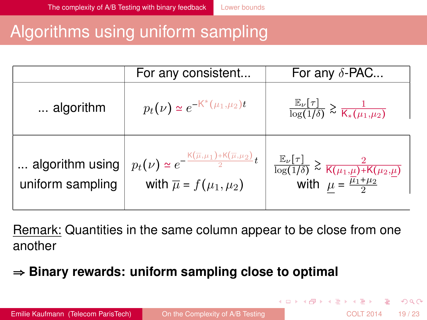# <span id="page-18-0"></span>Algorithms using uniform sampling

|                                     | For any consistent                                                                                                                               | For any $\delta$ -PAC                                                                                                          |
|-------------------------------------|--------------------------------------------------------------------------------------------------------------------------------------------------|--------------------------------------------------------------------------------------------------------------------------------|
| algorithm                           | $p_t(\nu) \simeq e^{-K^*(\mu_1,\mu_2)t}$                                                                                                         | $\frac{\mathbb{E}_{\nu}[\tau]}{\log(1/\delta)} \gtrsim \frac{1}{\mathsf{K}_{*}(\mu_1,\mu_2)}$                                  |
| algorithm using<br>uniform sampling | $p_t(\nu) \simeq e^{-\frac{\mathrm{K}(\overline{\mu}, \mu_1)+\mathrm{K}(\overline{\mu}, \mu_2)}{2}t}$<br>with $\overline{\mu} = f(\mu_1, \mu_2)$ | $\frac{\mathbb{E}_{\nu}[\tau]}{\log(1/\delta)} \gtrsim \frac{2}{K(\mu_1,\mu)+K(\mu_2,\mu)}$ with $\mu = \frac{\mu_1+\mu_2}{2}$ |

Remark: Quantities in the same column appear to be close from one another

## **Binary rewards: uniform sampling close to optimal**

 $\Omega$ 

4 ロ ト 4 何 ト 4 ヨ ト 4 ヨ ト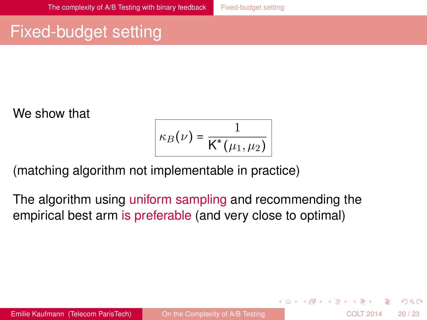# <span id="page-19-0"></span>Fixed-budget setting

We show that

$$
\kappa_B(\nu) = \frac{1}{\mathsf{K}^*(\mu_1,\mu_2)}
$$

(matching algorithm not implementable in practice)

The algorithm using uniform sampling and recommending the empirical best arm is preferable (and very close to optimal)

 $\Omega$ 

 $(0,1)$   $(0,1)$   $(0,1)$   $(1,1)$   $(1,1)$   $(1,1)$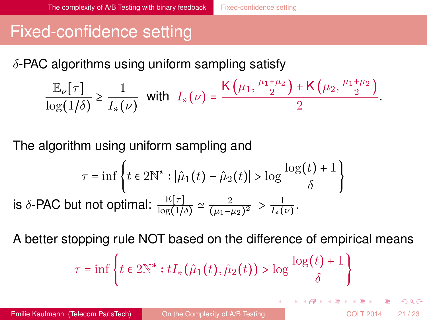# <span id="page-20-0"></span>Fixed-confidence setting

 $\delta$ -PAC algorithms using uniform sampling satisfy

$$
\frac{\mathbb{E}_{\nu}[\tau]}{\log(1/\delta)} \ge \frac{1}{I_*(\nu)} \quad \text{with} \quad I_*(\nu) = \frac{\mathsf{K}\left(\mu_1, \frac{\mu_1+\mu_2}{2}\right) + \mathsf{K}\left(\mu_2, \frac{\mu_1+\mu_2}{2}\right)}{2}.
$$

The algorithm using uniform sampling and

$$
\tau = \inf \left\{ t \in 2\mathbb{N}^* : |\hat{\mu}_1(t) - \hat{\mu}_2(t)| > \log \frac{\log(t) + 1}{\delta} \right\}
$$
  
is  $\delta$ -PAC but not optimal:  $\frac{\mathbb{E}[\tau]}{\log(1/\delta)} \simeq \frac{2}{(\mu_1 - \mu_2)^2} > \frac{1}{I_*(\nu)}$ .

A better stopping rule NOT based on the difference of empirical means

$$
\tau = \inf \left\{ t \in 2\mathbb{N}^* : tI_*(\hat{\mu}_1(t), \hat{\mu}_2(t)) > \log \frac{\log(t) + 1}{\delta} \right\}
$$

 $\Omega$ 

4 0 8 4 4 9 8 4 9 8 4 9 8 1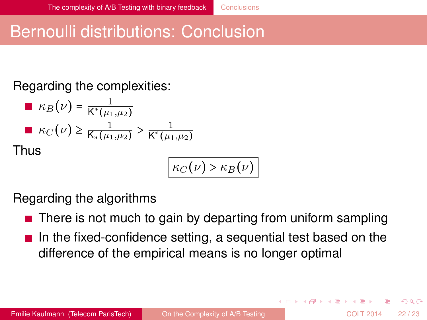# <span id="page-21-0"></span>Bernoulli distributions: Conclusion

### Regarding the complexities:

■ 
$$
\kappa_B(\nu) = \frac{1}{K^*(\mu_1, \mu_2)}
$$
  
\n■  $\kappa_C(\nu) \ge \frac{1}{K^*(\mu_1, \mu_2)} > \frac{1}{K^*(\mu_1, \mu_2)}$   
\nThus

$$
\kappa_C(\nu) > \kappa_B(\nu)
$$

Regarding the algorithms

- $\blacksquare$  There is not much to gain by departing from uniform sampling
- In the fixed-confidence setting, a sequential test based on the difference of the empirical means is no longer optimal

 $\Omega$ 

4 0 8 4 4 9 8 4 9 8 4 9 8 1